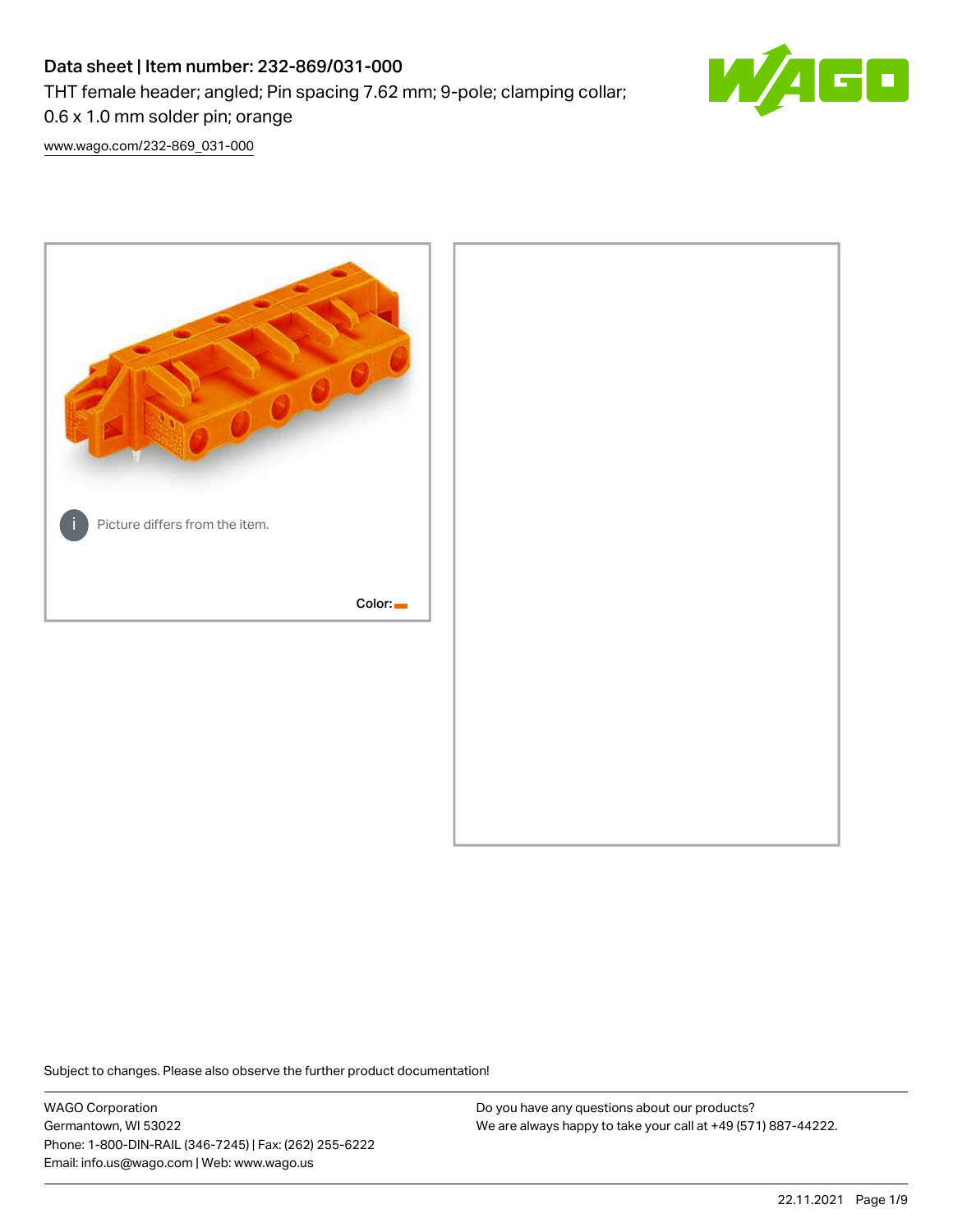# Data sheet | Item number: 232-869/031-000

THT female header; angled; Pin spacing 7.62 mm; 9-pole; clamping collar;



0.6 x 1.0 mm solder pin; orange

[www.wago.com/232-869\\_031-000](http://www.wago.com/232-869_031-000)



Subject to changes. Please also observe the further product documentation!

WAGO Corporation Germantown, WI 53022 Phone: 1-800-DIN-RAIL (346-7245) | Fax: (262) 255-6222 Email: info.us@wago.com | Web: www.wago.us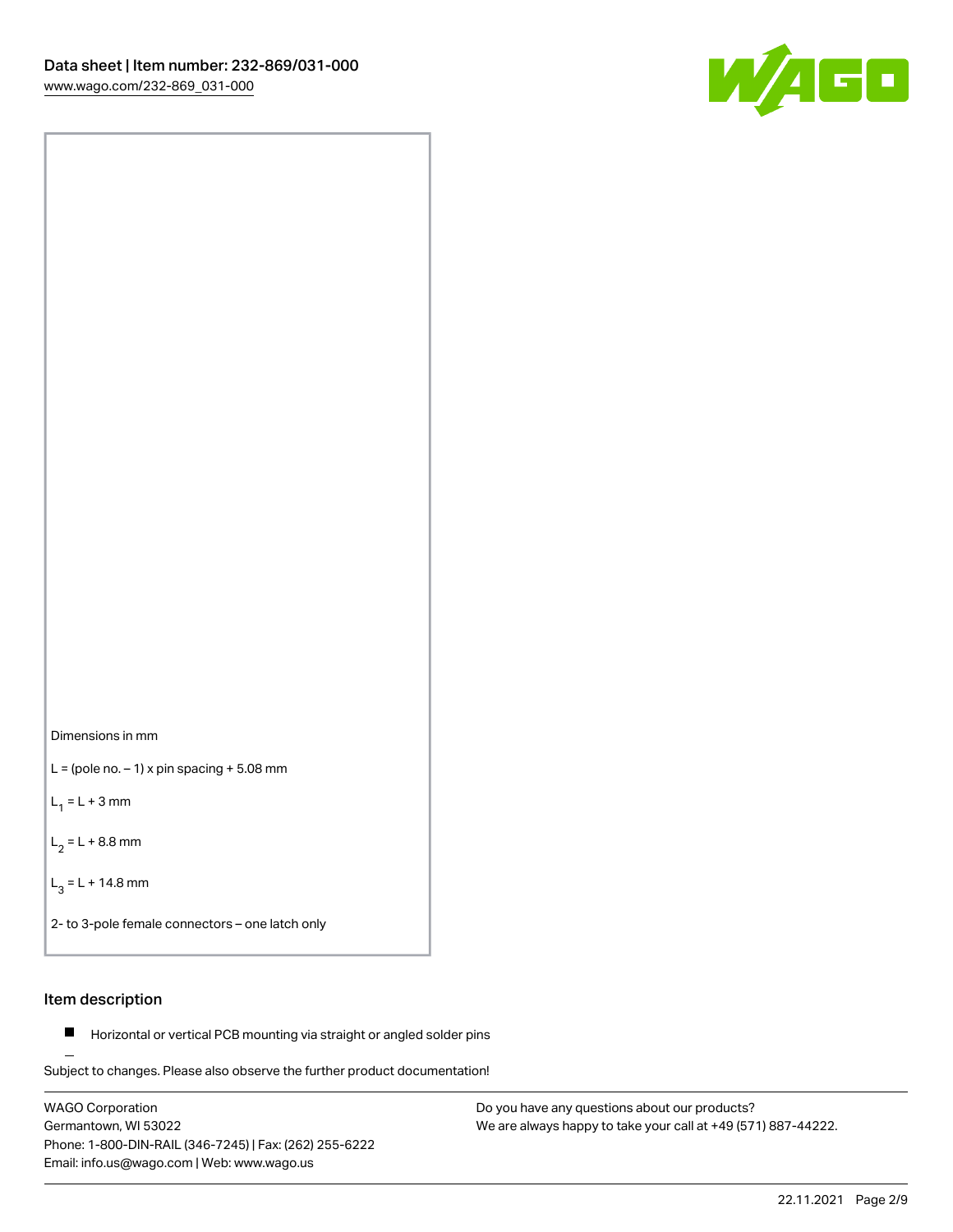



 $L =$  (pole no.  $-1$ ) x pin spacing  $+5.08$  mm

 $L_1 = L + 3$  mm

 $L_2 = L + 8.8$  mm

 $L_3 = L + 14.8$  mm

2- to 3-pole female connectors – one latch only

## Item description

**Horizontal or vertical PCB mounting via straight or angled solder pins** 

Subject to changes. Please also observe the further product documentation! For board-to-board and board-to-wire connections

WAGO Corporation Germantown, WI 53022 Phone: 1-800-DIN-RAIL (346-7245) | Fax: (262) 255-6222 Email: info.us@wago.com | Web: www.wago.us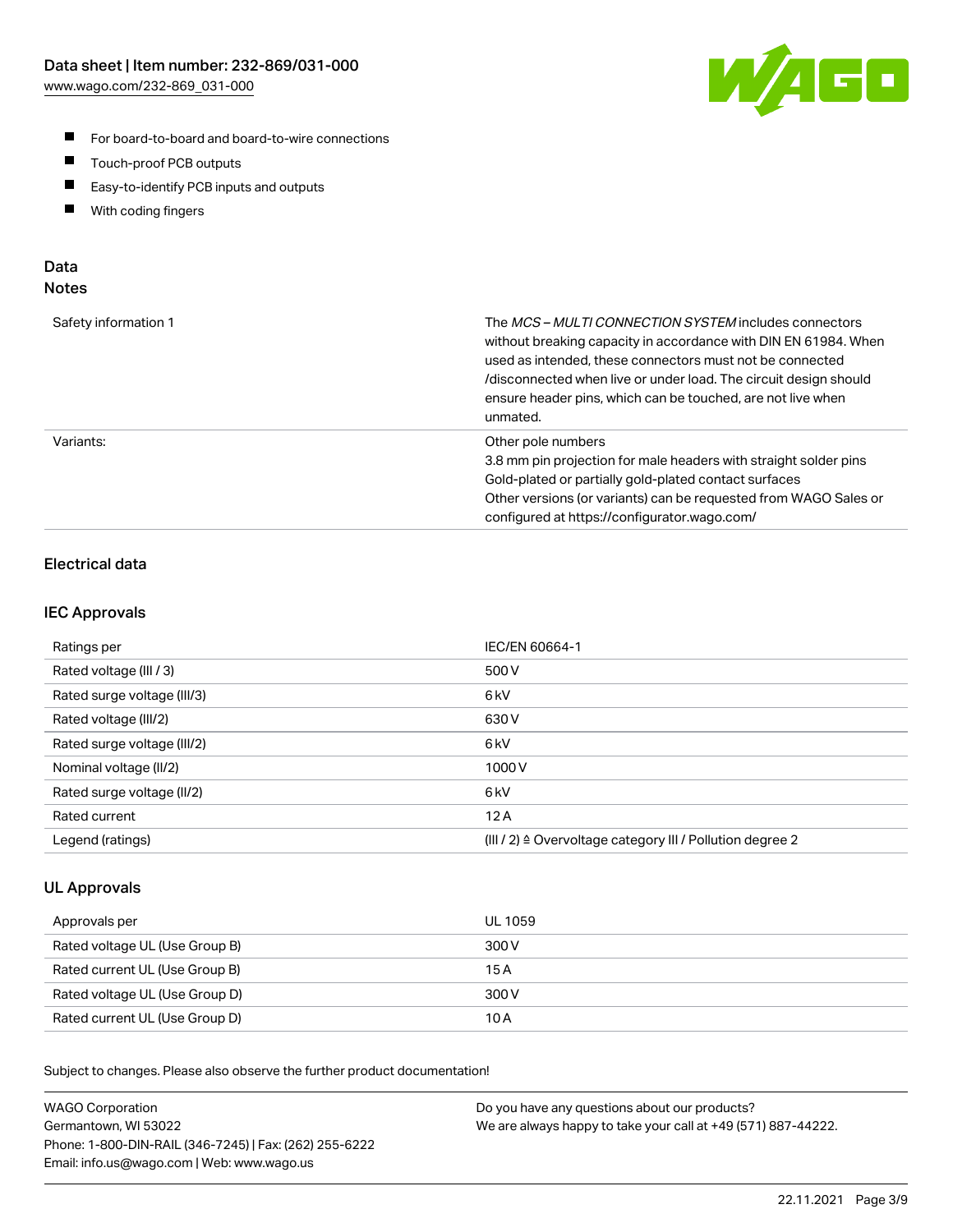

- For board-to-board and board-to-wire connections
- $\blacksquare$ Touch-proof PCB outputs
- $\blacksquare$ Easy-to-identify PCB inputs and outputs
- $\blacksquare$ With coding fingers

## Data **Notes**

| Safety information 1 | The <i>MCS – MULTI CONNECTION SYSTEM</i> includes connectors<br>without breaking capacity in accordance with DIN EN 61984. When<br>used as intended, these connectors must not be connected<br>/disconnected when live or under load. The circuit design should<br>ensure header pins, which can be touched, are not live when<br>unmated. |
|----------------------|--------------------------------------------------------------------------------------------------------------------------------------------------------------------------------------------------------------------------------------------------------------------------------------------------------------------------------------------|
| Variants:            | Other pole numbers<br>3.8 mm pin projection for male headers with straight solder pins<br>Gold-plated or partially gold-plated contact surfaces<br>Other versions (or variants) can be requested from WAGO Sales or<br>configured at https://configurator.wago.com/                                                                        |

## Electrical data

### IEC Approvals

| Ratings per                 | IEC/EN 60664-1                                                        |
|-----------------------------|-----------------------------------------------------------------------|
| Rated voltage (III / 3)     | 500 V                                                                 |
| Rated surge voltage (III/3) | 6 <sub>kV</sub>                                                       |
| Rated voltage (III/2)       | 630 V                                                                 |
| Rated surge voltage (III/2) | 6 <sub>kV</sub>                                                       |
| Nominal voltage (II/2)      | 1000 V                                                                |
| Rated surge voltage (II/2)  | 6 <sub>kV</sub>                                                       |
| Rated current               | 12A                                                                   |
| Legend (ratings)            | $(III / 2)$ $\triangle$ Overvoltage category III / Pollution degree 2 |

### UL Approvals

| Approvals per                  | UL 1059 |
|--------------------------------|---------|
| Rated voltage UL (Use Group B) | 300 V   |
| Rated current UL (Use Group B) | 15 A    |
| Rated voltage UL (Use Group D) | 300 V   |
| Rated current UL (Use Group D) | 10 A    |

| <b>WAGO Corporation</b>                                | Do you have any questions about our products?                 |
|--------------------------------------------------------|---------------------------------------------------------------|
| Germantown, WI 53022                                   | We are always happy to take your call at +49 (571) 887-44222. |
| Phone: 1-800-DIN-RAIL (346-7245)   Fax: (262) 255-6222 |                                                               |
| Email: info.us@wago.com   Web: www.wago.us             |                                                               |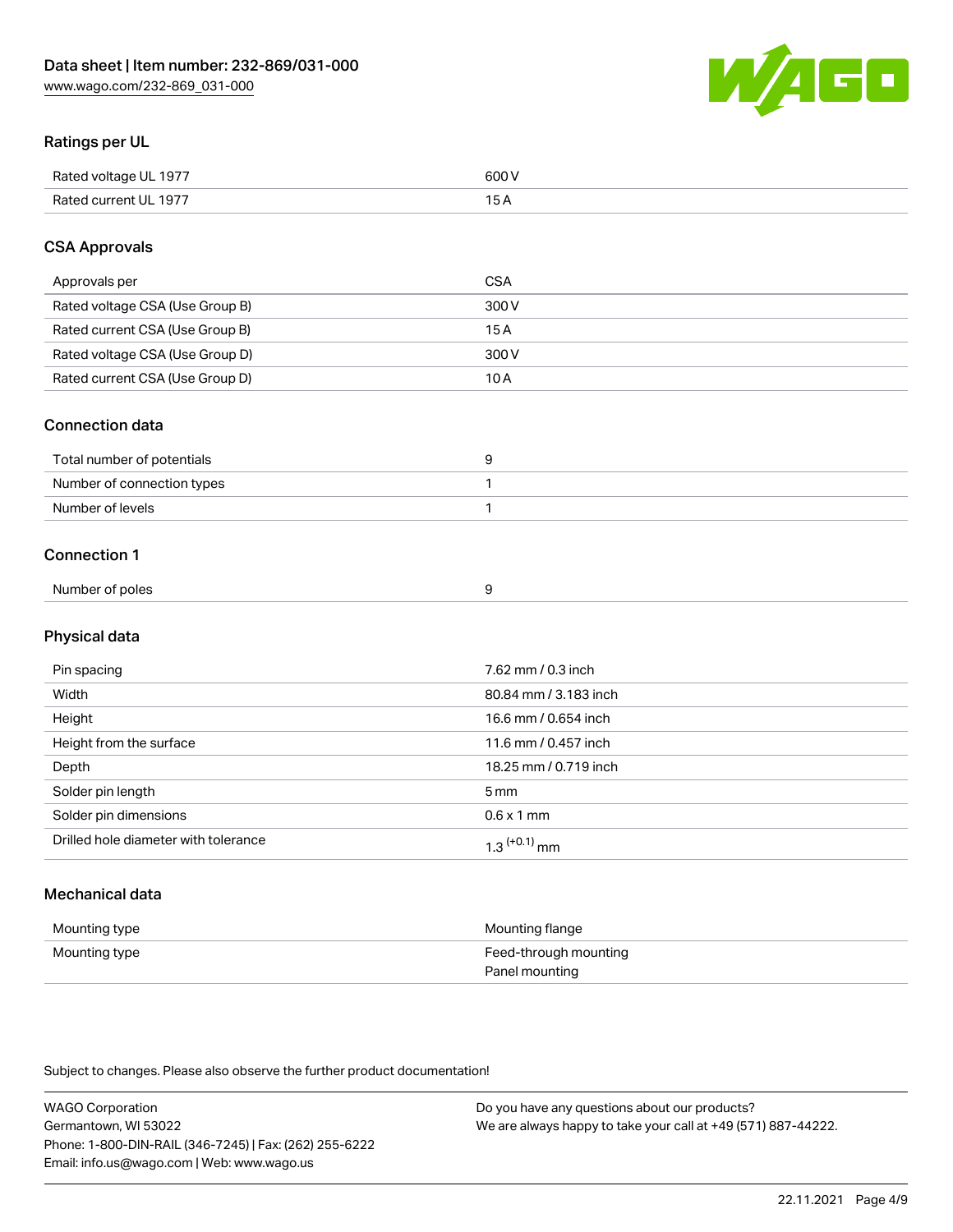

## Ratings per UL

| Rated voltage UL 1977                | COO V<br>ור |
|--------------------------------------|-------------|
| <b>Rated</b><br>UL 1977<br>curront l | ____        |

## CSA Approvals

| Approvals per                   | CSA   |
|---------------------------------|-------|
| Rated voltage CSA (Use Group B) | 300 V |
| Rated current CSA (Use Group B) | 15 A  |
| Rated voltage CSA (Use Group D) | 300 V |
| Rated current CSA (Use Group D) | 10 A  |

#### Connection data

| Total number of potentials |  |
|----------------------------|--|
| Number of connection types |  |
| Number of levels           |  |

#### Connection 1

| Number of poles |  |
|-----------------|--|
|                 |  |

## Physical data

| Pin spacing                          | 7.62 mm / 0.3 inch    |
|--------------------------------------|-----------------------|
| Width                                | 80.84 mm / 3.183 inch |
| Height                               | 16.6 mm / 0.654 inch  |
| Height from the surface              | 11.6 mm / 0.457 inch  |
| Depth                                | 18.25 mm / 0.719 inch |
| Solder pin length                    | 5 <sub>mm</sub>       |
| Solder pin dimensions                | $0.6 \times 1$ mm     |
| Drilled hole diameter with tolerance | $1.3$ $(+0.1)$ mm     |

## Mechanical data

| Mounting type | Mounting flange                         |
|---------------|-----------------------------------------|
| Mounting type | Feed-through mounting<br>Panel mounting |

| <b>WAGO Corporation</b>                                | Do you have any questions about our products?                 |
|--------------------------------------------------------|---------------------------------------------------------------|
| Germantown, WI 53022                                   | We are always happy to take your call at +49 (571) 887-44222. |
| Phone: 1-800-DIN-RAIL (346-7245)   Fax: (262) 255-6222 |                                                               |
| Email: info.us@wago.com   Web: www.wago.us             |                                                               |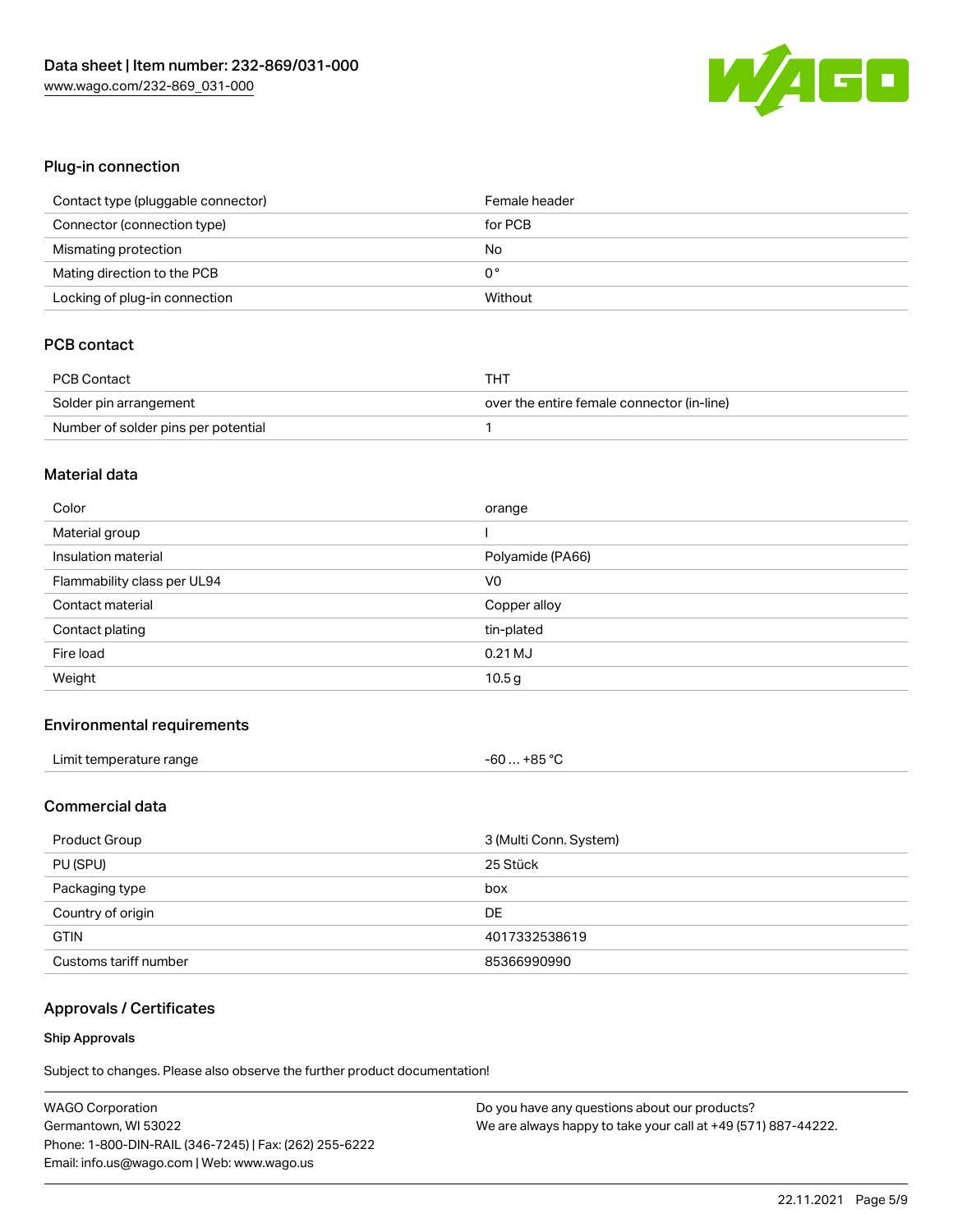

## Plug-in connection

| Contact type (pluggable connector) | Female header |
|------------------------------------|---------------|
| Connector (connection type)        | for PCB       |
| Mismating protection               | No            |
| Mating direction to the PCB        | 0°            |
| Locking of plug-in connection      | Without       |

## PCB contact

| <b>PCB Contact</b>                  | THT                                        |
|-------------------------------------|--------------------------------------------|
| Solder pin arrangement              | over the entire female connector (in-line) |
| Number of solder pins per potential |                                            |

#### Material data

| Color                       | orange           |
|-----------------------------|------------------|
| Material group              |                  |
| Insulation material         | Polyamide (PA66) |
| Flammability class per UL94 | V <sub>0</sub>   |
| Contact material            |                  |
|                             | Copper alloy     |
| Contact plating             | tin-plated       |
| Fire load                   | $0.21$ MJ        |

#### Environmental requirements

| Limit temperature range | $-60+85 °C$ |
|-------------------------|-------------|
|                         |             |

## Commercial data

| Product Group         | 3 (Multi Conn. System) |
|-----------------------|------------------------|
| PU (SPU)              | 25 Stück               |
| Packaging type        | box                    |
| Country of origin     | DE                     |
| <b>GTIN</b>           | 4017332538619          |
| Customs tariff number | 85366990990            |

## Approvals / Certificates

#### Ship Approvals

| <b>WAGO Corporation</b>                                | Do you have any questions about our products?                 |
|--------------------------------------------------------|---------------------------------------------------------------|
| Germantown, WI 53022                                   | We are always happy to take your call at +49 (571) 887-44222. |
| Phone: 1-800-DIN-RAIL (346-7245)   Fax: (262) 255-6222 |                                                               |
| Email: info.us@wago.com   Web: www.wago.us             |                                                               |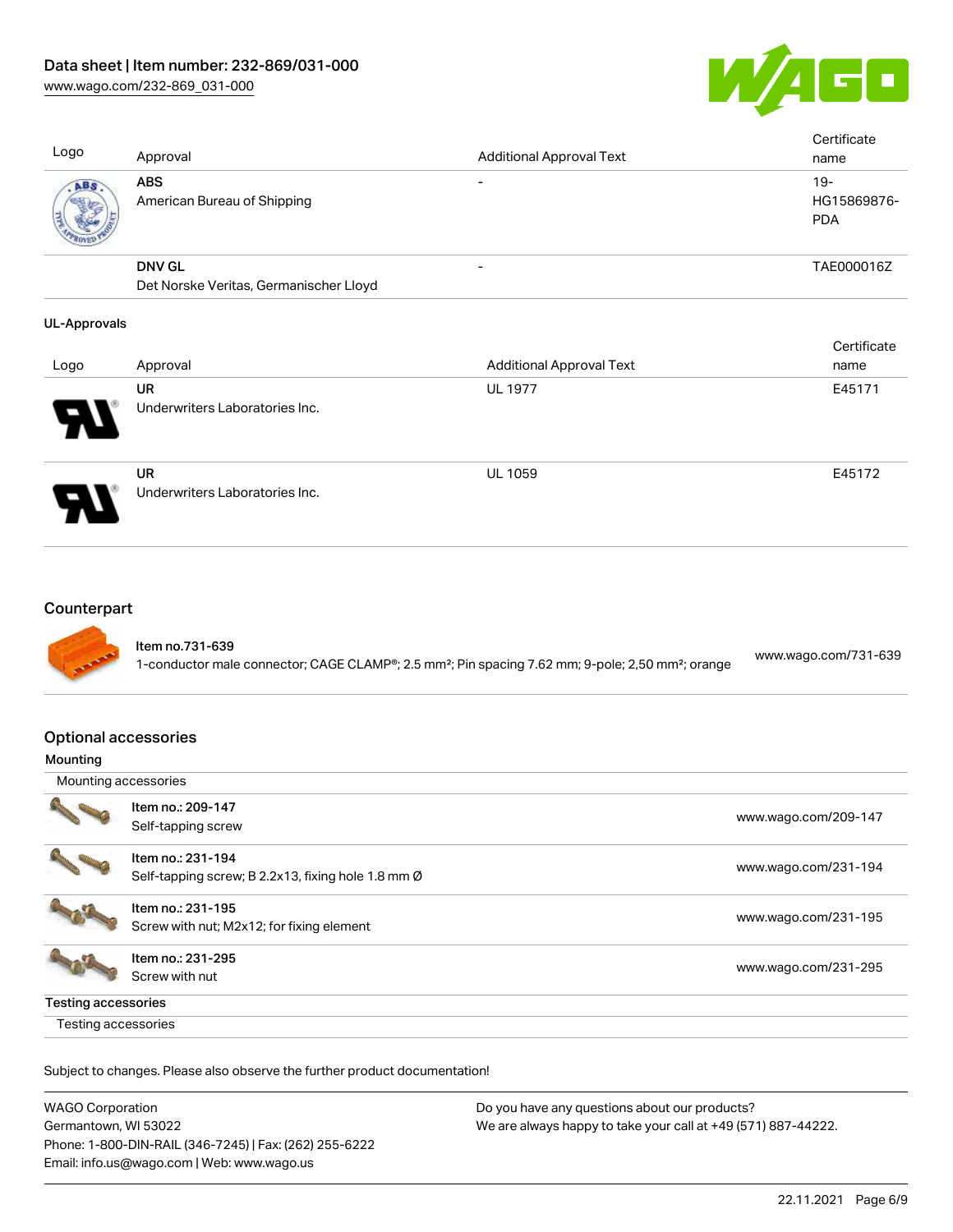

| Logo         | Approval                                                | <b>Additional Approval Text</b> | Certificate<br>name                 |
|--------------|---------------------------------------------------------|---------------------------------|-------------------------------------|
| ABS.         | <b>ABS</b><br>American Bureau of Shipping               |                                 | $19 -$<br>HG15869876-<br><b>PDA</b> |
|              | <b>DNV GL</b><br>Det Norske Veritas, Germanischer Lloyd | $\overline{\phantom{0}}$        | TAE000016Z                          |
| UL-Approvals |                                                         |                                 |                                     |

## Logo Approval Additional Approval Text **Certificate** name UR Underwriters Laboratories Inc. UL 1977 **E45171** UR Underwriters Laboratories Inc. UL 1059 E45172

## **Counterpart**



#### Optional accessories

| Mounting |  |
|----------|--|
|----------|--|

| Mounting accessories       |                                                    |                      |
|----------------------------|----------------------------------------------------|----------------------|
|                            | Item no.: 209-147                                  |                      |
|                            | Self-tapping screw                                 | www.wago.com/209-147 |
|                            | Item no.: 231-194                                  |                      |
|                            | Self-tapping screw; B 2.2x13, fixing hole 1.8 mm Ø | www.wago.com/231-194 |
|                            | Item no.: 231-195                                  |                      |
|                            | Screw with nut; M2x12; for fixing element          | www.wago.com/231-195 |
|                            | Item no.: 231-295                                  |                      |
|                            | Screw with nut                                     | www.wago.com/231-295 |
| <b>Testing accessories</b> |                                                    |                      |
| Testing accessories        |                                                    |                      |

| WAGO Corporation                                       | Do you have any questions about our products?                 |  |
|--------------------------------------------------------|---------------------------------------------------------------|--|
| Germantown, WI 53022                                   | We are always happy to take your call at +49 (571) 887-44222. |  |
| Phone: 1-800-DIN-RAIL (346-7245)   Fax: (262) 255-6222 |                                                               |  |
| Email: info.us@wago.com   Web: www.wago.us             |                                                               |  |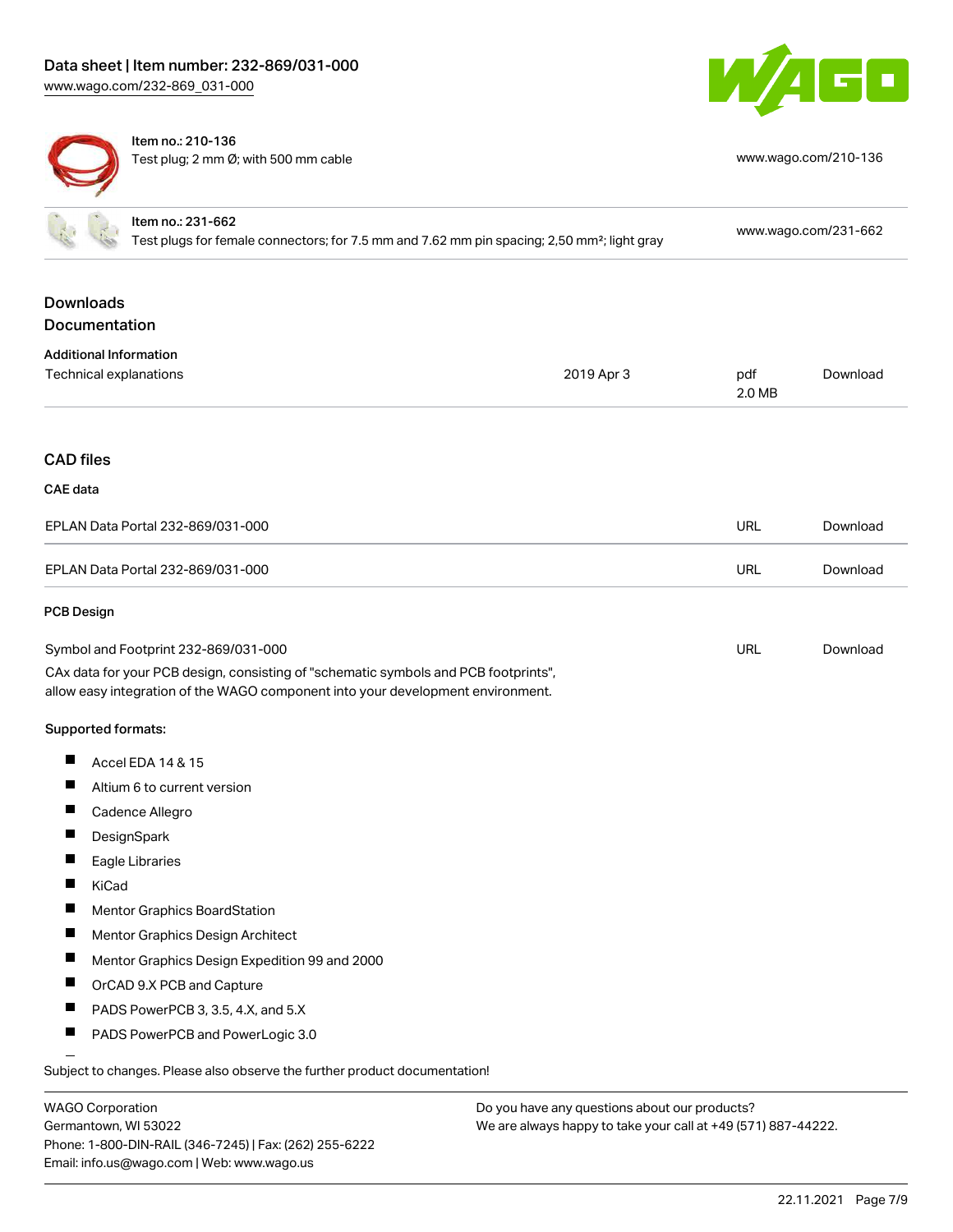



Item no.: 210-136 Test plug; 2 mm Ø; with 500 mm cable [www.wago.com/210-136](http://www.wago.com/210-136)

|                  | Item no.: 231-662<br>Test plugs for female connectors; for 7.5 mm and 7.62 mm pin spacing; 2,50 mm <sup>2</sup> ; light gray                                           |            |               | www.wago.com/231-662 |
|------------------|------------------------------------------------------------------------------------------------------------------------------------------------------------------------|------------|---------------|----------------------|
| <b>Downloads</b> | Documentation                                                                                                                                                          |            |               |                      |
|                  | <b>Additional Information</b>                                                                                                                                          |            |               |                      |
|                  | Technical explanations                                                                                                                                                 | 2019 Apr 3 | pdf<br>2.0 MB | Download             |
| <b>CAD files</b> |                                                                                                                                                                        |            |               |                      |
| <b>CAE</b> data  |                                                                                                                                                                        |            |               |                      |
|                  | EPLAN Data Portal 232-869/031-000                                                                                                                                      |            | <b>URL</b>    | Download             |
|                  | EPLAN Data Portal 232-869/031-000                                                                                                                                      |            | <b>URL</b>    | Download             |
| PCB Design       |                                                                                                                                                                        |            |               |                      |
|                  | Symbol and Footprint 232-869/031-000                                                                                                                                   |            | URL           | Download             |
|                  | CAx data for your PCB design, consisting of "schematic symbols and PCB footprints",<br>allow easy integration of the WAGO component into your development environment. |            |               |                      |
|                  | Supported formats:                                                                                                                                                     |            |               |                      |
| Ш                | Accel EDA 14 & 15                                                                                                                                                      |            |               |                      |
|                  | Altium 6 to current version                                                                                                                                            |            |               |                      |
|                  | Cadence Allegro                                                                                                                                                        |            |               |                      |
|                  | DesignSpark                                                                                                                                                            |            |               |                      |
|                  | Eagle Libraries                                                                                                                                                        |            |               |                      |
|                  | KiCad                                                                                                                                                                  |            |               |                      |
|                  | <b>Mentor Graphics BoardStation</b>                                                                                                                                    |            |               |                      |
|                  | Mentor Graphics Design Architect                                                                                                                                       |            |               |                      |
|                  | Mentor Graphics Design Expedition 99 and 2000                                                                                                                          |            |               |                      |
| H                | OrCAD 9.X PCB and Capture                                                                                                                                              |            |               |                      |
| п                | PADS PowerPCB 3, 3.5, 4.X, and 5.X                                                                                                                                     |            |               |                      |
| ш                | PADS PowerPCB and PowerLogic 3.0                                                                                                                                       |            |               |                      |
|                  | Subject to changes. Please also observe the further product documentation!                                                                                             |            |               |                      |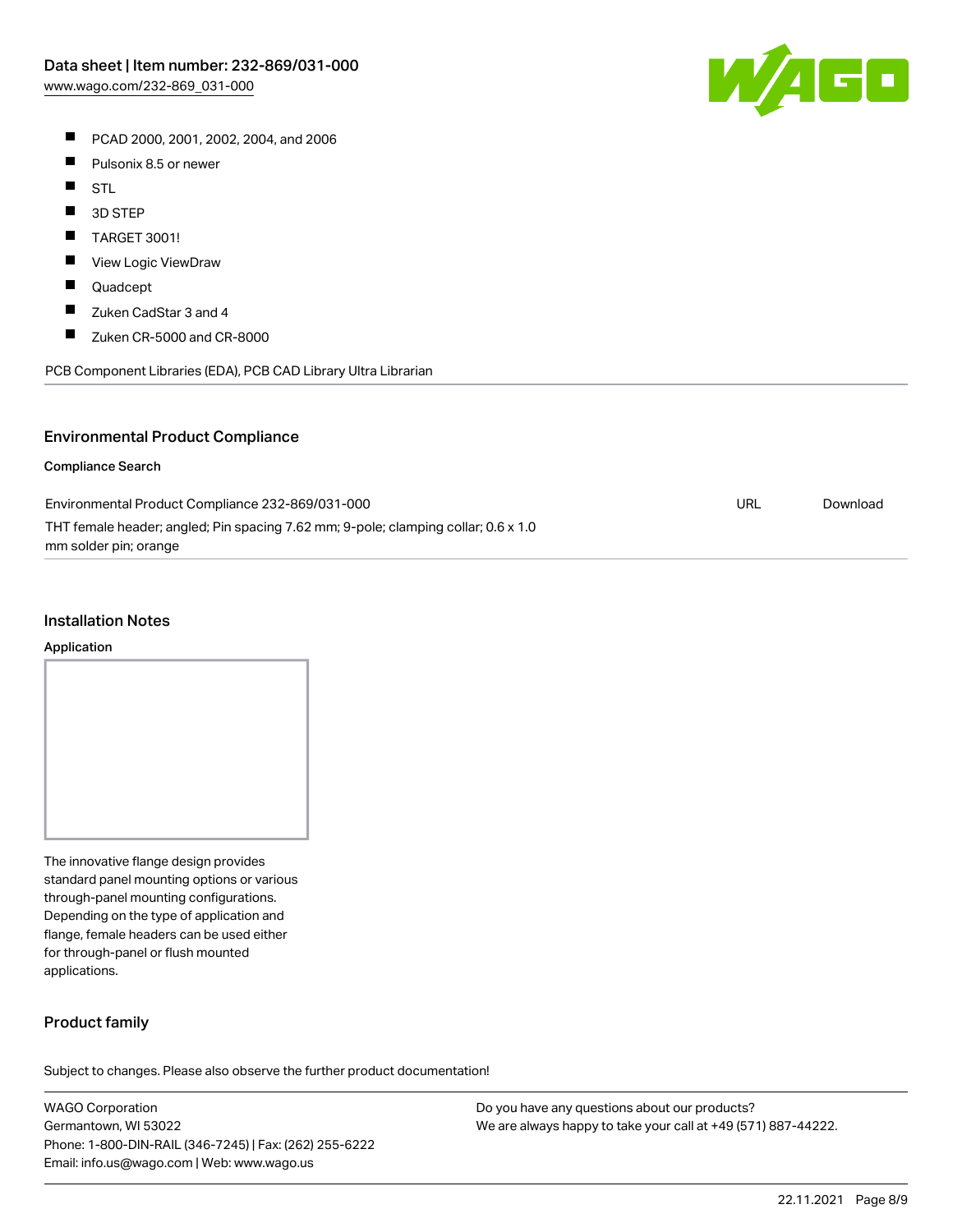- PCAD 2000, 2001, 2002, 2004, and 2006
- $\blacksquare$ Pulsonix 8.5 or newer
- $\blacksquare$ STL
- $\blacksquare$ 3D STEP
- $\blacksquare$ TARGET 3001!
- $\blacksquare$ View Logic ViewDraw
- $\blacksquare$ Quadcept
- $\blacksquare$ Zuken CadStar 3 and 4
- $\blacksquare$ Zuken CR-5000 and CR-8000

PCB Component Libraries (EDA), PCB CAD Library Ultra Librarian

## Environmental Product Compliance

#### Compliance Search

| Environmental Product Compliance 232-869/031-000                                   | URL | Download |
|------------------------------------------------------------------------------------|-----|----------|
| THT female header; angled; Pin spacing 7.62 mm; 9-pole; clamping collar; 0.6 x 1.0 |     |          |
| mm solder pin; orange                                                              |     |          |

#### Installation Notes

#### Application

The innovative flange design provides standard panel mounting options or various through-panel mounting configurations. Depending on the type of application and flange, female headers can be used either for through-panel or flush mounted applications.

### Product family

Subject to changes. Please also observe the further product documentation!

WAGO Corporation Germantown, WI 53022 Phone: 1-800-DIN-RAIL (346-7245) | Fax: (262) 255-6222 Email: info.us@wago.com | Web: www.wago.us